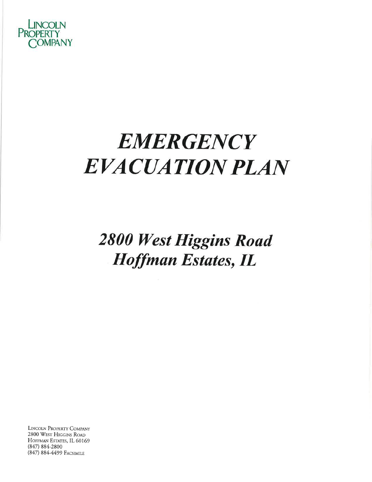

# **EMERGENCY EVACUATION PLAN**

**2800 West Higgins Road Hoffman Estates, IL** 

LINCOLN PROPERTY COMPANY 2800 WEST HIGGINS ROAD HOFFMAN ESTATES, IL 60169  $(847) 884 - 2800$ (847) 884-4499 FACSIMILE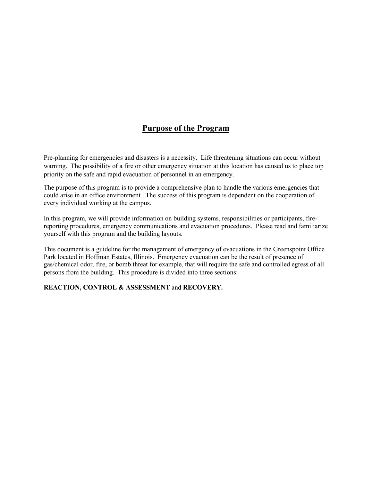# **Purpose of the Program**

Pre-planning for emergencies and disasters is a necessity. Life threatening situations can occur without warning. The possibility of a fire or other emergency situation at this location has caused us to place top priority on the safe and rapid evacuation of personnel in an emergency.

The purpose of this program is to provide a comprehensive plan to handle the various emergencies that could arise in an office environment. The success of this program is dependent on the cooperation of every individual working at the campus.

In this program, we will provide information on building systems, responsibilities or participants, firereporting procedures, emergency communications and evacuation procedures. Please read and familiarize yourself with this program and the building layouts.

This document is a guideline for the management of emergency of evacuations in the Greenspoint Office Park located in Hoffman Estates, Illinois. Emergency evacuation can be the result of presence of gas/chemical odor, fire, or bomb threat for example, that will require the safe and controlled egress of all persons from the building. This procedure is divided into three sections:

# **REACTION, CONTROL & ASSESSMENT** and **RECOVERY.**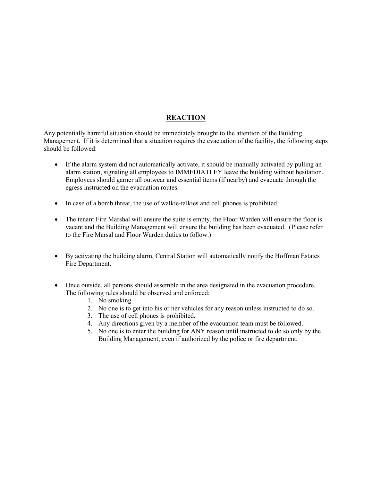# **REACTION**

Any potentially harmful situation should be immediately brought to the attention of the Building Management. If it is determined that a situation requires the evacuation of the facility, the following steps should be followed:

- If the alarm system did not automatically activate, it should be manually activated by pulling an alarm station, signaling all employees to IMMEDIATLEY leave the building without hesitation. Employees should garner all outwear and essential items (if nearby) and evacuate through the egress instructed on the evacuation routes.
- In case of a bomb threat, the use of walkie-talkies and cell phones is prohibited.
- The tenant Fire Marshal will ensure the suite is empty, the Floor Warden will ensure the floor is vacant and the Building Management will ensure the building has been evacuated. (Please refer to the Fire Marsal and Floor Warden duties to follow.)
- By activating the building alarm, Central Station will automatically notify the Hoffman Estates Fire Department.
- Once outside, all persons should assemble in the area designated in the evacuation procedure. The following rules should be observed and enforced:
	- 1. No smoking.
	- 2. No one is to get into his or her vehicles for any reason unless instructed to do so.
	- 3. The use of cell phones is prohibited.
	- 4. Any directions given by a member of the evacuation team must be followed.
	- 5. No one is to enter the building for ANY reason until instructed to do so only by the Building Management, even if authorized by the police or fire department.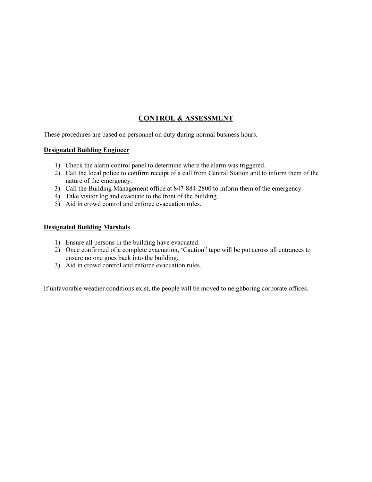# **CONTROL & ASSESSMENT**

These procedures are based on personnel on duty during normal business hours.

# **Designated Building Engineer**

- 1) Check the alarm control panel to determine where the alarm was triggered.
- 2) Call the local police to confirm receipt of a call from Central Station and to inform them of the nature of the emergency.
- 3) Call the Building Management office at 847-884-2800 to inform them of the emergency.
- 4) Take visitor log and evacuate to the front of the building.
- 5) Aid in crowd control and enforce evacuation rules.

#### **Designated Building Marshals**

- 1) Ensure all persons in the building have evacuated.
- 2) Once confirmed of a complete evacuation, 'Caution" tape will be put across all entrances to ensure no one goes back into the building.
- 3) Aid in crowd control and enforce evacuation rules.

If unfavorable weather conditions exist, the people will be moved to neighboring corporate offices.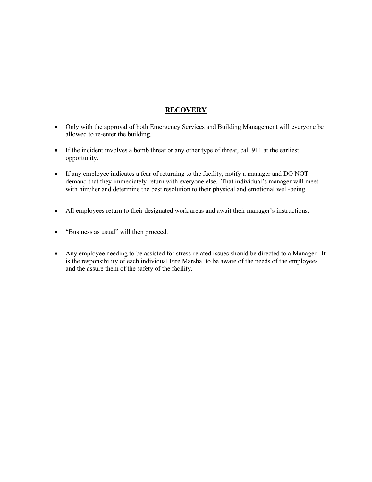# **RECOVERY**

- Only with the approval of both Emergency Services and Building Management will everyone be allowed to re-enter the building.
- If the incident involves a bomb threat or any other type of threat, call 911 at the earliest opportunity.
- If any employee indicates a fear of returning to the facility, notify a manager and DO NOT demand that they immediately return with everyone else. That individual's manager will meet with him/her and determine the best resolution to their physical and emotional well-being.
- All employees return to their designated work areas and await their manager's instructions.
- "Business as usual" will then proceed.
- Any employee needing to be assisted for stress-related issues should be directed to a Manager. It is the responsibility of each individual Fire Marshal to be aware of the needs of the employees and the assure them of the safety of the facility.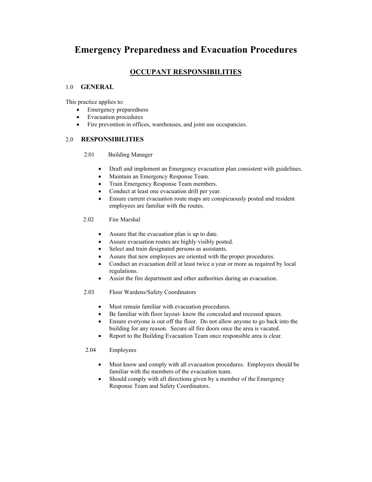# **Emergency Preparedness and Evacuation Procedures**

# **OCCUPANT RESPONSIBILITIES**

# 1.0 **GENERAL**

This practice applies to:

- Emergency preparedness
- Evacuation procedures
- Fire prevention in offices, warehouses, and joint use occupancies.

# 2.0 **RESPONSIBILITIES**

- 2.01 Building Manager
	- Draft and implement an Emergency evacuation plan consistent with guidelines.
	- Maintain an Emergency Response Team.
	- Train Emergency Response Team members.
	- Conduct at least one evacuation drill per year.
	- Ensure current evacuation route maps are conspicuously posted and resident employees are familiar with the routes.
- 2.02 Fire Marshal
	- Assure that the evacuation plan is up to date.
	- Assure evacuation routes are highly visibly posted.
	- Select and train designated persons as assistants.
	- Assure that new employees are oriented with the proper procedures.
	- Conduct an evacuation drill at least twice a year or more as required by local regulations.
	- Assist the fire department and other authorities during an evacuation.
- 2.03 Floor Wardens/Safety Coordinators
	- Must remain familiar with evacuation procedures.
	- Be familiar with floor layout- know the concealed and recessed spaces.
	- Ensure everyone is out off the floor. Do not allow anyone to go back into the building for any reason. Secure all fire doors once the area is vacated.
	- Report to the Building Evacuation Team once responsible area is clear.

#### 2.04 Employees

- Must know and comply with all evacuation procedures. Employees should be familiar with the members of the evacuation team.
- Should comply with all directions given by a member of the Emergency Response Team and Safety Coordinators.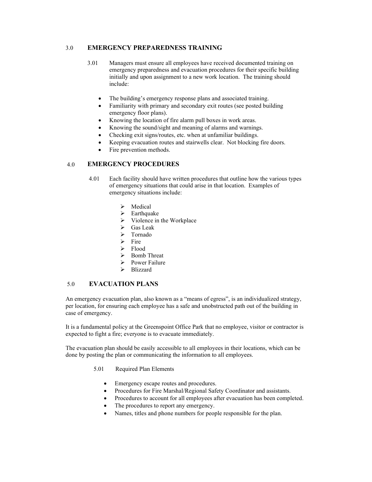#### 3.0 **EMERGENCY PREPAREDNESS TRAINING**

- 3.01 Managers must ensure all employees have received documented training on emergency preparedness and evacuation procedures for their specific building initially and upon assignment to a new work location. The training should include:
	- The building's emergency response plans and associated training.
	- Familiarity with primary and secondary exit routes (see posted building emergency floor plans).
	- Knowing the location of fire alarm pull boxes in work areas.
	- Knowing the sound/sight and meaning of alarms and warnings.
	- Checking exit signs/routes, etc. when at unfamiliar buildings.
	- Keeping evacuation routes and stairwells clear. Not blocking fire doors.
	- Fire prevention methods.

#### 4.0 **EMERGENCY PROCEDURES**

- 4.01 Each facility should have written procedures that outline how the various types of emergency situations that could arise in that location. Examples of emergency situations include:
	- $\triangleright$  Medical
	- $\triangleright$  Earthquake
	- $\triangleright$  Violence in the Workplace
	- $\triangleright$  Gas Leak<br> $\triangleright$  Tornado
	- Tornado
	- $\triangleright$  Fire
	- $\triangleright$  Flood
	- $\triangleright$  Bomb Threat
	- $\triangleright$  Power Failure
	- > Blizzard

#### 5.0 **EVACUATION PLANS**

An emergency evacuation plan, also known as a "means of egress", is an individualized strategy, per location, for ensuring each employee has a safe and unobstructed path out of the building in case of emergency.

It is a fundamental policy at the Greenspoint Office Park that no employee, visitor or contractor is expected to fight a fire; everyone is to evacuate immediately.

The evacuation plan should be easily accessible to all employees in their locations, which can be done by posting the plan or communicating the information to all employees.

- 5.01 Required Plan Elements
	- Emergency escape routes and procedures.
	- Procedures for Fire Marshal/Regional Safety Coordinator and assistants.
	- Procedures to account for all employees after evacuation has been completed.
	- The procedures to report any emergency.
	- Names, titles and phone numbers for people responsible for the plan.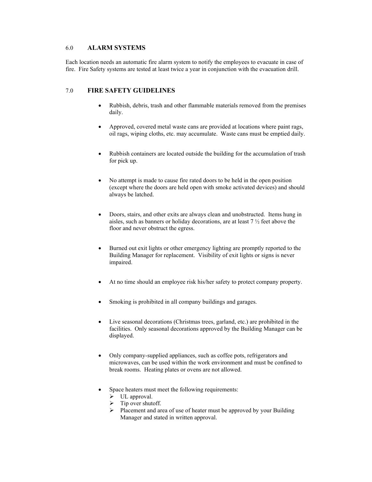#### 6.0 **ALARM SYSTEMS**

Each location needs an automatic fire alarm system to notify the employees to evacuate in case of fire. Fire Safety systems are tested at least twice a year in conjunction with the evacuation drill.

#### 7.0 **FIRE SAFETY GUIDELINES**

- Rubbish, debris, trash and other flammable materials removed from the premises daily.
- Approved, covered metal waste cans are provided at locations where paint rags, oil rags, wiping cloths, etc. may accumulate. Waste cans must be emptied daily.
- Rubbish containers are located outside the building for the accumulation of trash for pick up.
- No attempt is made to cause fire rated doors to be held in the open position (except where the doors are held open with smoke activated devices) and should always be latched.
- Doors, stairs, and other exits are always clean and unobstructed. Items hung in aisles, such as banners or holiday decorations, are at least 7 ½ feet above the floor and never obstruct the egress.
- Burned out exit lights or other emergency lighting are promptly reported to the Building Manager for replacement. Visibility of exit lights or signs is never impaired.
- At no time should an employee risk his/her safety to protect company property.
- Smoking is prohibited in all company buildings and garages.
- Live seasonal decorations (Christmas trees, garland, etc.) are prohibited in the facilities. Only seasonal decorations approved by the Building Manager can be displayed.
- Only company-supplied appliances, such as coffee pots, refrigerators and microwaves, can be used within the work environment and must be confined to break rooms. Heating plates or ovens are not allowed.
- Space heaters must meet the following requirements:
	- $\triangleright$  UL approval.
	- $\triangleright$  Tip over shutoff.
	- $\triangleright$  Placement and area of use of heater must be approved by your Building Manager and stated in written approval.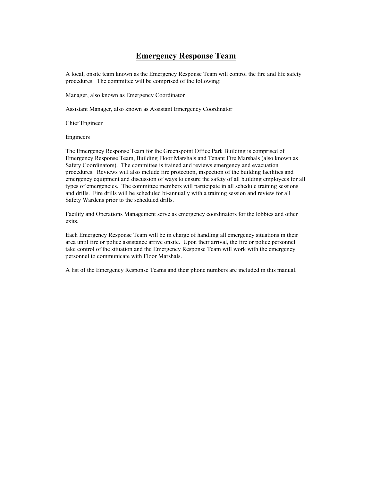# **Emergency Response Team**

A local, onsite team known as the Emergency Response Team will control the fire and life safety procedures. The committee will be comprised of the following:

Manager, also known as Emergency Coordinator

Assistant Manager, also known as Assistant Emergency Coordinator

Chief Engineer

Engineers

The Emergency Response Team for the Greenspoint Office Park Building is comprised of Emergency Response Team, Building Floor Marshals and Tenant Fire Marshals (also known as Safety Coordinators). The committee is trained and reviews emergency and evacuation procedures. Reviews will also include fire protection, inspection of the building facilities and emergency equipment and discussion of ways to ensure the safety of all building employees for all types of emergencies. The committee members will participate in all schedule training sessions and drills. Fire drills will be scheduled bi-annually with a training session and review for all Safety Wardens prior to the scheduled drills.

Facility and Operations Management serve as emergency coordinators for the lobbies and other exits.

Each Emergency Response Team will be in charge of handling all emergency situations in their area until fire or police assistance arrive onsite. Upon their arrival, the fire or police personnel take control of the situation and the Emergency Response Team will work with the emergency personnel to communicate with Floor Marshals.

A list of the Emergency Response Teams and their phone numbers are included in this manual.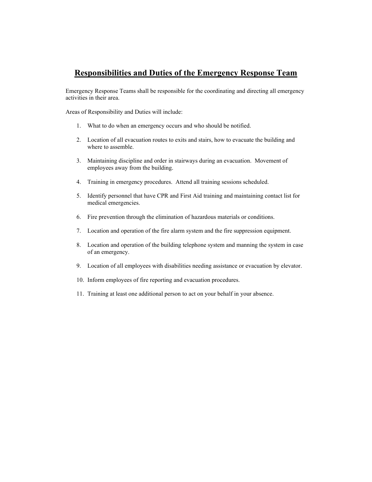# **Responsibilities and Duties of the Emergency Response Team**

Emergency Response Teams shall be responsible for the coordinating and directing all emergency activities in their area.

Areas of Responsibility and Duties will include:

- 1. What to do when an emergency occurs and who should be notified.
- 2. Location of all evacuation routes to exits and stairs, how to evacuate the building and where to assemble.
- 3. Maintaining discipline and order in stairways during an evacuation. Movement of employees away from the building.
- 4. Training in emergency procedures. Attend all training sessions scheduled.
- 5. Identify personnel that have CPR and First Aid training and maintaining contact list for medical emergencies.
- 6. Fire prevention through the elimination of hazardous materials or conditions.
- 7. Location and operation of the fire alarm system and the fire suppression equipment.
- 8. Location and operation of the building telephone system and manning the system in case of an emergency.
- 9. Location of all employees with disabilities needing assistance or evacuation by elevator.
- 10. Inform employees of fire reporting and evacuation procedures.
- 11. Training at least one additional person to act on your behalf in your absence.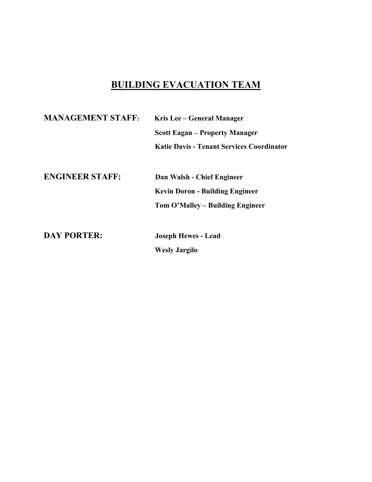# **BUILDING EVACUATION TEAM**

| <b>MANAGEMENT STAFF:</b> | Kris Lee – General Manager                |  |
|--------------------------|-------------------------------------------|--|
|                          | <b>Scott Eagan – Property Manager</b>     |  |
|                          | Katie Davis - Tenant Services Coordinator |  |
|                          |                                           |  |
| <b>ENGINEER STAFF:</b>   | Dan Walsh - Chief Engineer                |  |
|                          | <b>Kevin Doron - Building Engineer</b>    |  |
|                          | Tom O'Malley – Building Engineer          |  |
|                          |                                           |  |
| <b>DAY PORTER:</b>       | <b>Joseph Hewes - Lead</b>                |  |
|                          | <b>Wesly Jargilo</b>                      |  |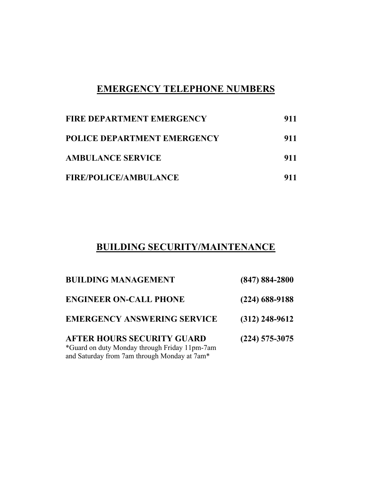# **EMERGENCY TELEPHONE NUMBERS**

| <b>FIRE DEPARTMENT EMERGENCY</b>   | 911 |
|------------------------------------|-----|
| <b>POLICE DEPARTMENT EMERGENCY</b> | 911 |
| <b>AMBULANCE SERVICE</b>           | 911 |
| <b>FIRE/POLICE/AMBULANCE</b>       | 911 |

# **BUILDING SECURITY/MAINTENANCE**

| <b>BUILDING MANAGEMENT</b>                                                                                                         | $(847) 884 - 2800$ |
|------------------------------------------------------------------------------------------------------------------------------------|--------------------|
| <b>ENGINEER ON-CALL PHONE</b>                                                                                                      | $(224)$ 688-9188   |
| <b>EMERGENCY ANSWERING SERVICE</b>                                                                                                 | $(312)$ 248-9612   |
| <b>AFTER HOURS SECURITY GUARD</b><br>*Guard on duty Monday through Friday 11pm-7am<br>and Saturday from 7am through Monday at 7am* | $(224)$ 575-3075   |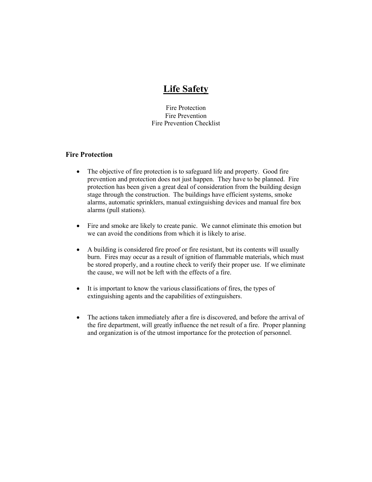# **Life Safety**

Fire Protection Fire Prevention Fire Prevention Checklist

# **Fire Protection**

- The objective of fire protection is to safeguard life and property. Good fire prevention and protection does not just happen. They have to be planned. Fire protection has been given a great deal of consideration from the building design stage through the construction. The buildings have efficient systems, smoke alarms, automatic sprinklers, manual extinguishing devices and manual fire box alarms (pull stations).
- Fire and smoke are likely to create panic. We cannot eliminate this emotion but we can avoid the conditions from which it is likely to arise.
- A building is considered fire proof or fire resistant, but its contents will usually burn. Fires may occur as a result of ignition of flammable materials, which must be stored properly, and a routine check to verify their proper use. If we eliminate the cause, we will not be left with the effects of a fire.
- It is important to know the various classifications of fires, the types of extinguishing agents and the capabilities of extinguishers.
- The actions taken immediately after a fire is discovered, and before the arrival of the fire department, will greatly influence the net result of a fire. Proper planning and organization is of the utmost importance for the protection of personnel.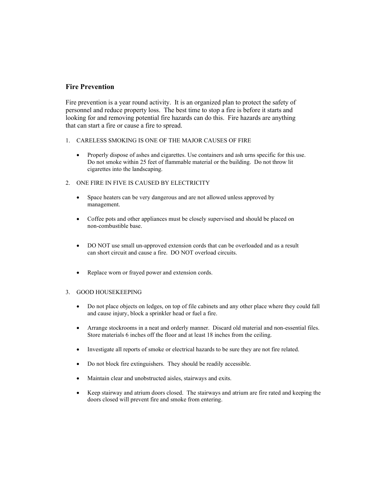# **Fire Prevention**

Fire prevention is a year round activity. It is an organized plan to protect the safety of personnel and reduce property loss. The best time to stop a fire is before it starts and looking for and removing potential fire hazards can do this. Fire hazards are anything that can start a fire or cause a fire to spread.

- 1. CARELESS SMOKING IS ONE OF THE MAJOR CAUSES OF FIRE
	- Properly dispose of ashes and cigarettes. Use containers and ash urns specific for this use. Do not smoke within 25 feet of flammable material or the building. Do not throw lit cigarettes into the landscaping.
- 2. ONE FIRE IN FIVE IS CAUSED BY ELECTRICITY
	- Space heaters can be very dangerous and are not allowed unless approved by management.
	- Coffee pots and other appliances must be closely supervised and should be placed on non-combustible base.
	- DO NOT use small un-approved extension cords that can be overloaded and as a result can short circuit and cause a fire. DO NOT overload circuits.
	- Replace worn or frayed power and extension cords.

#### 3. GOOD HOUSEKEEPING

- Do not place objects on ledges, on top of file cabinets and any other place where they could fall and cause injury, block a sprinkler head or fuel a fire.
- Arrange stockrooms in a neat and orderly manner. Discard old material and non-essential files. Store materials 6 inches off the floor and at least 18 inches from the ceiling.
- Investigate all reports of smoke or electrical hazards to be sure they are not fire related.
- Do not block fire extinguishers. They should be readily accessible.
- Maintain clear and unobstructed aisles, stairways and exits.
- Keep stairway and atrium doors closed. The stairways and atrium are fire rated and keeping the doors closed will prevent fire and smoke from entering.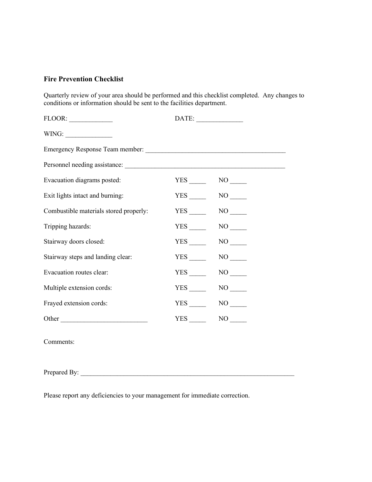# **Fire Prevention Checklist**

Quarterly review of your area should be performed and this checklist completed. Any changes to conditions or information should be sent to the facilities department.

| FLOOR:                                    |     |                     |
|-------------------------------------------|-----|---------------------|
| $\text{WING:}\n \underline{\hspace{2cm}}$ |     |                     |
|                                           |     |                     |
|                                           |     |                     |
| Evacuation diagrams posted:               |     | $YES$ NO $\qquad$   |
| Exit lights intact and burning:           |     | $YES$ NO $\qquad$   |
| Combustible materials stored properly:    |     | YES NO              |
| Tripping hazards:                         |     | $YES$ NO $\qquad$   |
| Stairway doors closed:                    |     | YES NO              |
| Stairway steps and landing clear:         | YES |                     |
| Evacuation routes clear:                  | YES | NO <sub>1</sub>     |
| Multiple extension cords:                 | YES | NO <sub>1</sub>     |
| Frayed extension cords:                   |     | $NO$ <sub>———</sub> |
| Other                                     | YES | NO                  |

Comments:

Prepared By:

Please report any deficiencies to your management for immediate correction.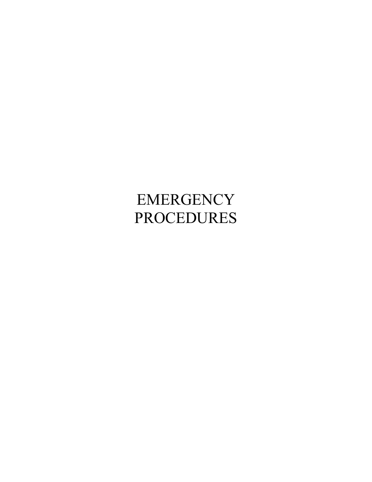# EMERGENCY PROCEDURES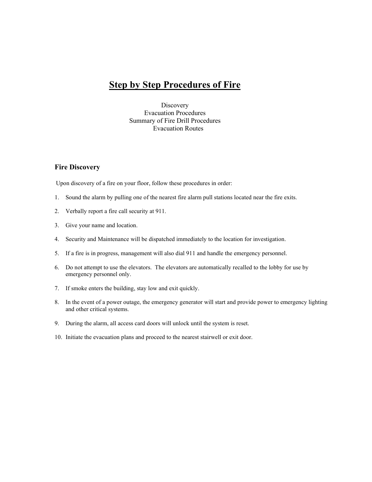# **Step by Step Procedures of Fire**

**Discovery** Evacuation Procedures Summary of Fire Drill Procedures Evacuation Routes

# **Fire Discovery**

Upon discovery of a fire on your floor, follow these procedures in order:

- 1. Sound the alarm by pulling one of the nearest fire alarm pull stations located near the fire exits.
- 2. Verbally report a fire call security at 911.
- 3. Give your name and location.
- 4. Security and Maintenance will be dispatched immediately to the location for investigation.
- 5. If a fire is in progress, management will also dial 911 and handle the emergency personnel.
- 6. Do not attempt to use the elevators. The elevators are automatically recalled to the lobby for use by emergency personnel only.
- 7. If smoke enters the building, stay low and exit quickly.
- 8. In the event of a power outage, the emergency generator will start and provide power to emergency lighting and other critical systems.
- 9. During the alarm, all access card doors will unlock until the system is reset.
- 10. Initiate the evacuation plans and proceed to the nearest stairwell or exit door.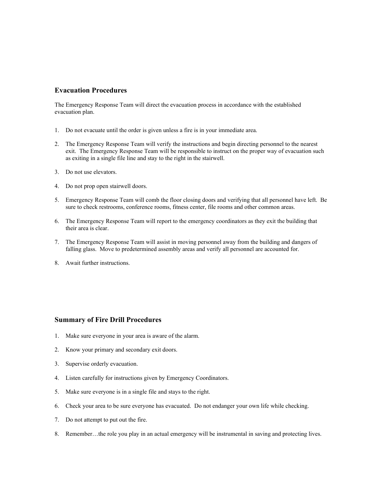# **Evacuation Procedures**

The Emergency Response Team will direct the evacuation process in accordance with the established evacuation plan.

- 1. Do not evacuate until the order is given unless a fire is in your immediate area.
- 2. The Emergency Response Team will verify the instructions and begin directing personnel to the nearest exit. The Emergency Response Team will be responsible to instruct on the proper way of evacuation such as exiting in a single file line and stay to the right in the stairwell.
- 3. Do not use elevators.
- 4. Do not prop open stairwell doors.
- 5. Emergency Response Team will comb the floor closing doors and verifying that all personnel have left. Be sure to check restrooms, conference rooms, fitness center, file rooms and other common areas.
- 6. The Emergency Response Team will report to the emergency coordinators as they exit the building that their area is clear.
- 7. The Emergency Response Team will assist in moving personnel away from the building and dangers of falling glass. Move to predetermined assembly areas and verify all personnel are accounted for.
- 8. Await further instructions.

# **Summary of Fire Drill Procedures**

- 1. Make sure everyone in your area is aware of the alarm.
- 2. Know your primary and secondary exit doors.
- 3. Supervise orderly evacuation.
- 4. Listen carefully for instructions given by Emergency Coordinators.
- 5. Make sure everyone is in a single file and stays to the right.
- 6. Check your area to be sure everyone has evacuated. Do not endanger your own life while checking.
- 7. Do not attempt to put out the fire.
- 8. Remember…the role you play in an actual emergency will be instrumental in saving and protecting lives.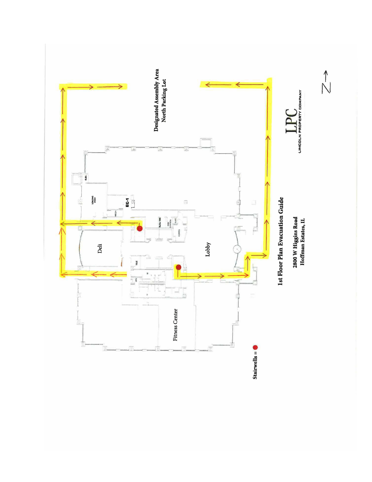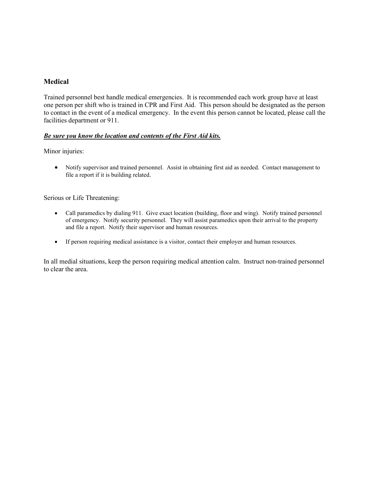# **Medical**

Trained personnel best handle medical emergencies. It is recommended each work group have at least one person per shift who is trained in CPR and First Aid. This person should be designated as the person to contact in the event of a medical emergency. In the event this person cannot be located, please call the facilities department or 911.

# *Be sure you know the location and contents of the First Aid kits.*

Minor injuries:

• Notify supervisor and trained personnel. Assist in obtaining first aid as needed. Contact management to file a report if it is building related.

# Serious or Life Threatening:

- Call paramedics by dialing 911. Give exact location (building, floor and wing). Notify trained personnel of emergency. Notify security personnel. They will assist paramedics upon their arrival to the property and file a report. Notify their supervisor and human resources.
- If person requiring medical assistance is a visitor, contact their employer and human resources.

In all medial situations, keep the person requiring medical attention calm. Instruct non-trained personnel to clear the area.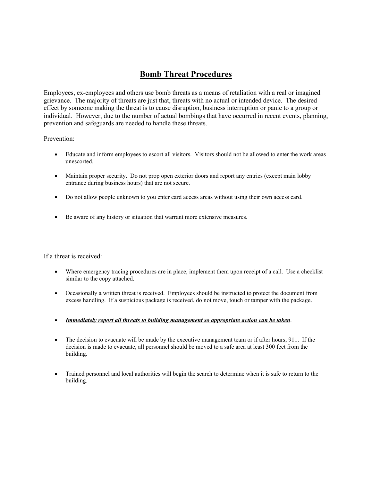# **Bomb Threat Procedures**

Employees, ex-employees and others use bomb threats as a means of retaliation with a real or imagined grievance. The majority of threats are just that, threats with no actual or intended device. The desired effect by someone making the threat is to cause disruption, business interruption or panic to a group or individual. However, due to the number of actual bombings that have occurred in recent events, planning, prevention and safeguards are needed to handle these threats.

# Prevention:

- Educate and inform employees to escort all visitors. Visitors should not be allowed to enter the work areas unescorted.
- Maintain proper security. Do not prop open exterior doors and report any entries (except main lobby entrance during business hours) that are not secure.
- Do not allow people unknown to you enter card access areas without using their own access card.
- Be aware of any history or situation that warrant more extensive measures.

If a threat is received:

- Where emergency tracing procedures are in place, implement them upon receipt of a call. Use a checklist similar to the copy attached.
- Occasionally a written threat is received. Employees should be instructed to protect the document from excess handling. If a suspicious package is received, do not move, touch or tamper with the package.
- *Immediately report all threats to building management so appropriate action can be taken*.
- The decision to evacuate will be made by the executive management team or if after hours, 911. If the decision is made to evacuate, all personnel should be moved to a safe area at least 300 feet from the building.
- Trained personnel and local authorities will begin the search to determine when it is safe to return to the building.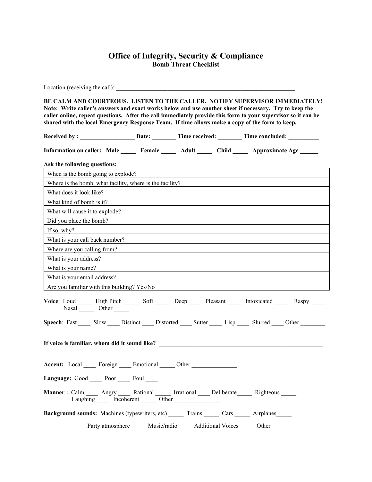# **Office of Integrity, Security & Compliance Bomb Threat Checklist**

Location (receiving the call): **BE CALM AND COURTEOUS. LISTEN TO THE CALLER. NOTIFY SUPERVISOR IMMEDIATELY! Note: Write caller's answers and exact works below and use another sheet if necessary. Try to keep the caller online, repeat questions. After the call immediately provide this form to your supervisor so it can be shared with the local Emergency Response Team. If time allows make a copy of the form to keep. Received by : \_\_\_\_\_\_\_\_\_\_\_\_\_\_\_\_\_\_ Date: \_\_\_\_\_\_\_\_ Time received: \_\_\_\_\_\_\_\_ Time concluded: \_\_\_\_\_\_\_\_\_\_ Information on caller: Male \_\_\_\_\_ Female \_\_\_\_\_ Adult \_\_\_\_\_ Child \_\_\_\_\_ Approximate Age \_\_\_\_\_\_ Ask the following questions:** When is the bomb going to explode? Where is the bomb, what facility, where is the facility? What does it look like? What kind of bomb is it? What will cause it to explode? Did you place the bomb? If so, why? What is your call back number? Where are you calling from? What is your address? What is your name? What is your email address? Are you familiar with this building? Yes/No Voice: Loud High Pitch Soft Deep Pleasant Intoxicated Raspy Nasal \_\_\_\_\_\_\_ Other \_\_\_\_\_\_ Speech: Fast Slow Distinct Distorted Sutter Lisp Slurred Other **If voice is familiar, whom did it sound like? \_\_\_\_\_\_\_\_\_\_\_\_\_\_\_\_\_\_\_\_\_\_\_\_\_\_\_\_\_\_\_\_\_\_\_\_\_\_\_\_\_\_\_\_\_\_\_\_\_\_\_\_\_\_** Accent: Local Foreign Emotional Other **Language:** Good Poor Foul **Manner :** Calm \_\_\_\_\_ Angry \_\_\_\_\_ Rational \_\_\_\_\_\_ Irrational \_\_\_\_\_ Deliberate \_\_\_\_\_\_ Righteous \_\_\_\_\_ Laughing Incoherent Other **Background sounds:** Machines (typewriters, etc) \_\_\_\_\_\_ Trains \_\_\_\_\_ Cars \_\_\_\_\_ Airplanes\_\_\_\_\_ Party atmosphere Music/radio \_\_\_\_ Additional Voices \_\_\_\_ Other \_\_\_\_\_\_\_\_\_\_\_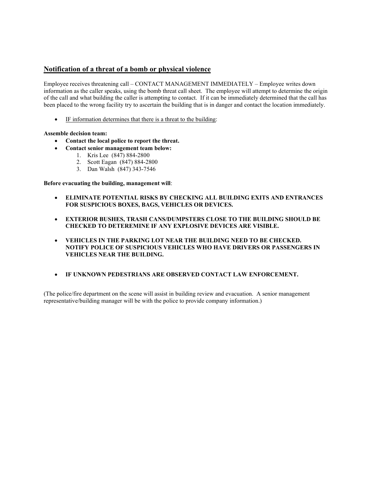# **Notification of a threat of a bomb or physical violence**

Employee receives threatening call – CONTACT MANAGEMENT IMMEDIATELY – Employee writes down information as the caller speaks, using the bomb threat call sheet. The employee will attempt to determine the origin of the call and what building the caller is attempting to contact. If it can be immediately determined that the call has been placed to the wrong facility try to ascertain the building that is in danger and contact the location immediately.

IF information determines that there is a threat to the building:

#### **Assemble decision team:**

- **Contact the local police to report the threat.**
- **Contact senior management team below:**
	- 1. Kris Lee (847) 884-2800
	- 2. Scott Eagan (847) 884-2800
	- 3. Dan Walsh (847) 343-7546

#### **Before evacuating the building, management will**:

- **ELIMINATE POTENTIAL RISKS BY CHECKING ALL BUILDING EXITS AND ENTRANCES FOR SUSPICIOUS BOXES, BAGS, VEHICLES OR DEVICES.**
- **EXTERIOR BUSHES, TRASH CANS/DUMPSTERS CLOSE TO THE BUILDING SHOULD BE CHECKED TO DETEREMINE IF ANY EXPLOSIVE DEVICES ARE VISIBLE.**
- **VEHICLES IN THE PARKING LOT NEAR THE BUILDING NEED TO BE CHECKED. NOTIFY POLICE OF SUSPICIOUS VEHICLES WHO HAVE DRIVERS OR PASSENGERS IN VEHICLES NEAR THE BUILDING.**
- **IF UNKNOWN PEDESTRIANS ARE OBSERVED CONTACT LAW ENFORCEMENT.**

(The police/fire department on the scene will assist in building review and evacuation. A senior management representative/building manager will be with the police to provide company information.)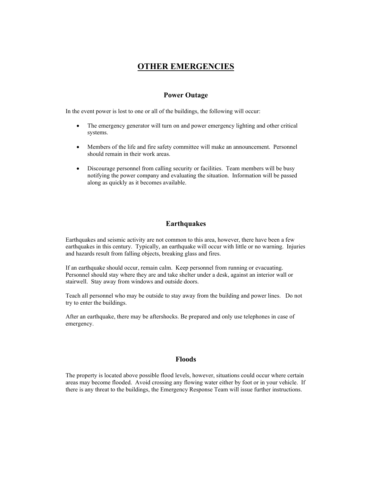# **OTHER EMERGENCIES**

# **Power Outage**

In the event power is lost to one or all of the buildings, the following will occur:

- The emergency generator will turn on and power emergency lighting and other critical systems.
- Members of the life and fire safety committee will make an announcement. Personnel should remain in their work areas.
- Discourage personnel from calling security or facilities. Team members will be busy notifying the power company and evaluating the situation. Information will be passed along as quickly as it becomes available.

# **Earthquakes**

Earthquakes and seismic activity are not common to this area, however, there have been a few earthquakes in this century. Typically, an earthquake will occur with little or no warning. Injuries and hazards result from falling objects, breaking glass and fires.

If an earthquake should occur, remain calm. Keep personnel from running or evacuating. Personnel should stay where they are and take shelter under a desk, against an interior wall or stairwell. Stay away from windows and outside doors.

Teach all personnel who may be outside to stay away from the building and power lines. Do not try to enter the buildings.

After an earthquake, there may be aftershocks. Be prepared and only use telephones in case of emergency.

# **Floods**

The property is located above possible flood levels, however, situations could occur where certain areas may become flooded. Avoid crossing any flowing water either by foot or in your vehicle. If there is any threat to the buildings, the Emergency Response Team will issue further instructions.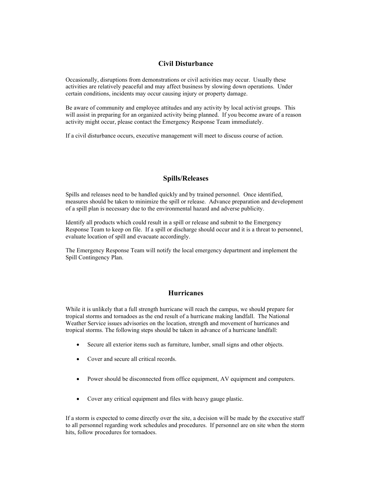# **Civil Disturbance**

Occasionally, disruptions from demonstrations or civil activities may occur. Usually these activities are relatively peaceful and may affect business by slowing down operations. Under certain conditions, incidents may occur causing injury or property damage.

Be aware of community and employee attitudes and any activity by local activist groups. This will assist in preparing for an organized activity being planned. If you become aware of a reason activity might occur, please contact the Emergency Response Team immediately.

If a civil disturbance occurs, executive management will meet to discuss course of action.

# **Spills/Releases**

Spills and releases need to be handled quickly and by trained personnel. Once identified, measures should be taken to minimize the spill or release. Advance preparation and development of a spill plan is necessary due to the environmental hazard and adverse publicity.

Identify all products which could result in a spill or release and submit to the Emergency Response Team to keep on file. If a spill or discharge should occur and it is a threat to personnel, evaluate location of spill and evacuate accordingly.

The Emergency Response Team will notify the local emergency department and implement the Spill Contingency Plan.

#### **Hurricanes**

While it is unlikely that a full strength hurricane will reach the campus, we should prepare for tropical storms and tornadoes as the end result of a hurricane making landfall. The National Weather Service issues advisories on the location, strength and movement of hurricanes and tropical storms. The following steps should be taken in advance of a hurricane landfall:

- Secure all exterior items such as furniture, lumber, small signs and other objects.
- Cover and secure all critical records.
- Power should be disconnected from office equipment, AV equipment and computers.
- Cover any critical equipment and files with heavy gauge plastic.

If a storm is expected to come directly over the site, a decision will be made by the executive staff to all personnel regarding work schedules and procedures. If personnel are on site when the storm hits, follow procedures for tornadoes.